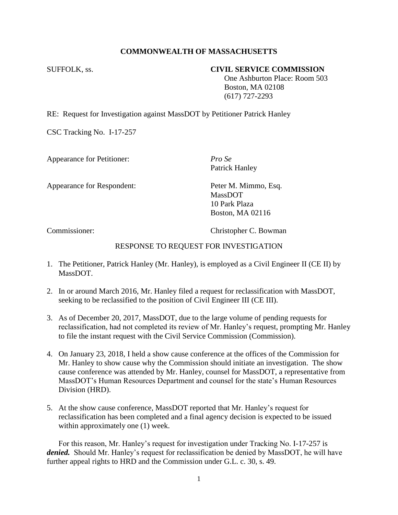# **COMMONWEALTH OF MASSACHUSETTS**

## SUFFOLK, ss. **CIVIL SERVICE COMMISSION**

 One Ashburton Place: Room 503 Boston, MA 02108 (617) 727-2293

RE: Request for Investigation against MassDOT by Petitioner Patrick Hanley

CSC Tracking No. I-17-257

Appearance for Petitioner: *Pro Se*

Patrick Hanley

Appearance for Respondent: Peter M. Mimmo, Esq.

MassDOT 10 Park Plaza Boston, MA 02116

Commissioner: Christopher C. Bowman

### RESPONSE TO REQUEST FOR INVESTIGATION

- 1. The Petitioner, Patrick Hanley (Mr. Hanley), is employed as a Civil Engineer II (CE II) by MassDOT.
- 2. In or around March 2016, Mr. Hanley filed a request for reclassification with MassDOT, seeking to be reclassified to the position of Civil Engineer III (CE III).
- 3. As of December 20, 2017, MassDOT, due to the large volume of pending requests for reclassification, had not completed its review of Mr. Hanley's request, prompting Mr. Hanley to file the instant request with the Civil Service Commission (Commission).
- 4. On January 23, 2018, I held a show cause conference at the offices of the Commission for Mr. Hanley to show cause why the Commission should initiate an investigation. The show cause conference was attended by Mr. Hanley, counsel for MassDOT, a representative from MassDOT's Human Resources Department and counsel for the state's Human Resources Division (HRD).
- 5. At the show cause conference, MassDOT reported that Mr. Hanley's request for reclassification has been completed and a final agency decision is expected to be issued within approximately one (1) week.

For this reason, Mr. Hanley's request for investigation under Tracking No. I-17-257 is *denied.* Should Mr. Hanley's request for reclassification be denied by MassDOT, he will have further appeal rights to HRD and the Commission under G.L. c. 30, s. 49.